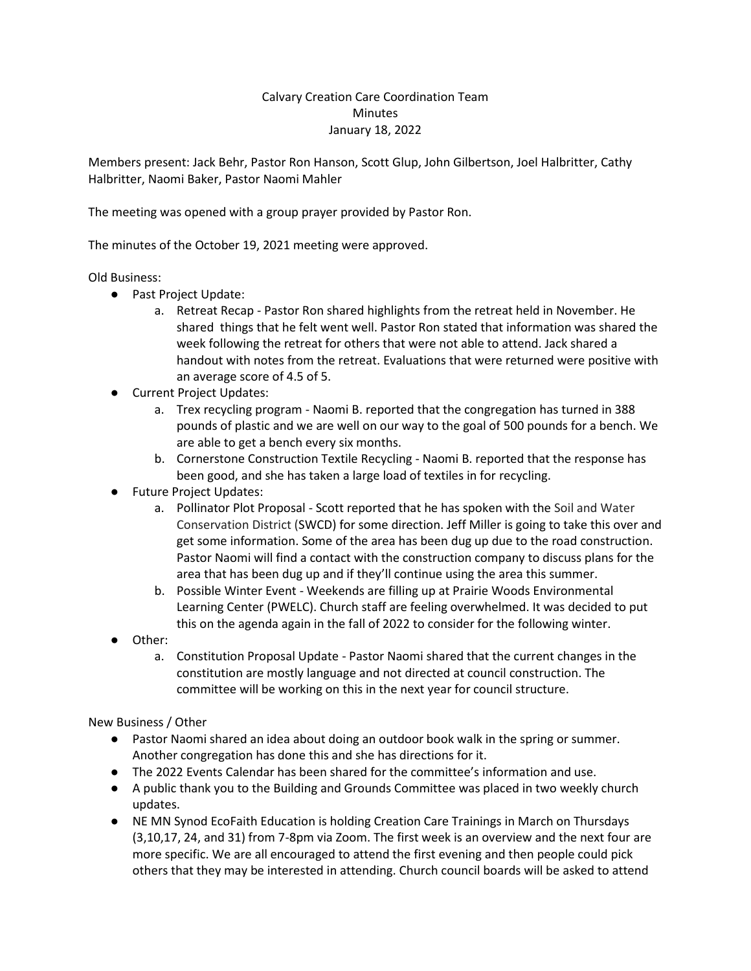## Calvary Creation Care Coordination Team **Minutes** January 18, 2022

Members present: Jack Behr, Pastor Ron Hanson, Scott Glup, John Gilbertson, Joel Halbritter, Cathy Halbritter, Naomi Baker, Pastor Naomi Mahler

The meeting was opened with a group prayer provided by Pastor Ron.

The minutes of the October 19, 2021 meeting were approved.

## Old Business:

- Past Project Update:
	- a. Retreat Recap Pastor Ron shared highlights from the retreat held in November. He shared things that he felt went well. Pastor Ron stated that information was shared the week following the retreat for others that were not able to attend. Jack shared a handout with notes from the retreat. Evaluations that were returned were positive with an average score of 4.5 of 5.
- Current Project Updates:
	- a. Trex recycling program Naomi B. reported that the congregation has turned in 388 pounds of plastic and we are well on our way to the goal of 500 pounds for a bench. We are able to get a bench every six months.
	- b. Cornerstone Construction Textile Recycling Naomi B. reported that the response has been good, and she has taken a large load of textiles in for recycling.
- Future Project Updates:
	- a. Pollinator Plot Proposal Scott reported that he has spoken with the Soil and Water Conservation District (SWCD) for some direction. Jeff Miller is going to take this over and get some information. Some of the area has been dug up due to the road construction. Pastor Naomi will find a contact with the construction company to discuss plans for the area that has been dug up and if they'll continue using the area this summer.
	- b. Possible Winter Event Weekends are filling up at Prairie Woods Environmental Learning Center (PWELC). Church staff are feeling overwhelmed. It was decided to put this on the agenda again in the fall of 2022 to consider for the following winter.
- Other:
	- a. Constitution Proposal Update Pastor Naomi shared that the current changes in the constitution are mostly language and not directed at council construction. The committee will be working on this in the next year for council structure.

New Business / Other

- Pastor Naomi shared an idea about doing an outdoor book walk in the spring or summer. Another congregation has done this and she has directions for it.
- The 2022 Events Calendar has been shared for the committee's information and use.
- A public thank you to the Building and Grounds Committee was placed in two weekly church updates.
- NE MN Synod EcoFaith Education is holding Creation Care Trainings in March on Thursdays (3,10,17, 24, and 31) from 7-8pm via Zoom. The first week is an overview and the next four are more specific. We are all encouraged to attend the first evening and then people could pick others that they may be interested in attending. Church council boards will be asked to attend